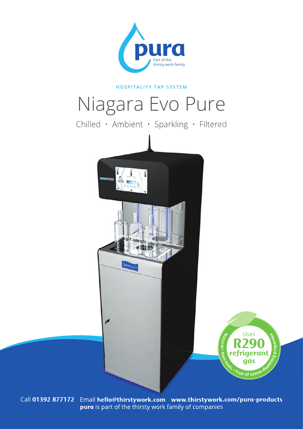

# **HOSPITALITY TAP SYSTEM**

# Niagara Evo Pure

Chilled • Ambient • Sparkling • Filtered





Call **01392 877172** Email **hello@thirstywork.com www.thirstywork.com/pura-products pura** is part of the thirsty work family of companies

A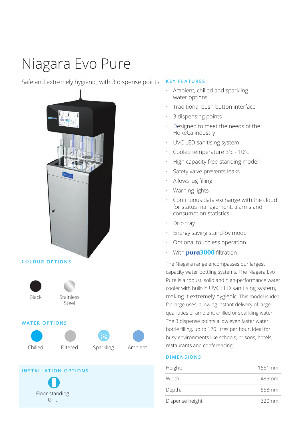# Niagara Evo Pure

# Safe and extremely hygienic, with 3 dispense points



#### **COLOUR OPTIONS**





### **WATER OPTIONS**









# **INSTALLATION OPTIONS**

Floor-standing Unit

## **KEY FEATURES**

- Ambient, chilled and sparkling water options
- Traditional push button interface
- 3 dispensing points
- Designed to meet the needs of the HoReCa industry
- UVC LED sanitising system
- Cooled temperature  $3^{\circ}$ c 10 $^{\circ}$ c
- High capacity free-standing model
- Safety valve prevents leaks
- Allows jug filling
- Warning lights
- Continuous data exchange with the cloud for status management, alarms and consumption statistics
- Drip tray
- Energy saving stand-by mode
- Optional touchless operation
- With **pura3000** filtration

The Niagara range encompasses our largest capacity water bottling systems. The Niagara Evo Pure is a robust, solid and high-performance water cooler with built-in UVC LED sanitising system, making it extremely hygienic. This model is ideal for large uses, allowing instant delivery of large quantities of ambient, chilled or sparkling water. The 3 dispense points allow even faster water bottle filling, up to 120 litres per hour, ideal for busy environments like schools, prisons, hotels, restaurants and conferencing.

### **DIMENSIONS**

| Height:          | 1551mm   |
|------------------|----------|
| Width:           | 485mm    |
| Depth:           | 558mm    |
| Dispense height: | $320$ mm |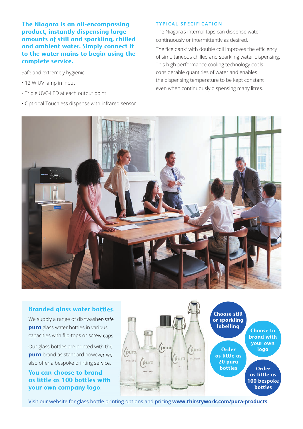**The Niagara is an all-encompassing product, instantly dispensing large amounts of still and sparkling, chilled and ambient water. Simply connect it to the water mains to begin using the complete service.**

Safe and extremely hygienic:

- 12 W UV lamp in input
- Triple UVC-LED at each output point
- Optional Touchless dispense with infrared sensor

#### **TYPICAL SPECIFICATION**

The Niagara's internal taps can dispense water continuously or intermittently as desired.

The "ice bank" with double coil improves the efficiency of simultaneous chilled and sparkling water dispensing. This high performance cooling technology cools considerable quantities of water and enables the dispensing temperature to be kept constant even when continuously dispensing many litres.



### **Branded glass water bottles.**

We supply a range of dishwasher-safe **pura** glass water bottles in various capacities with flip-tops or screw caps.

Our glass bottles are printed with the **pura** brand as standard however we also offer a bespoke printing service.

**You can choose to brand as little as 100 bottles with your own company logo.** 



Visit our website for glass bottle printing options and pricing **www.thirstywork.com/pura-products**